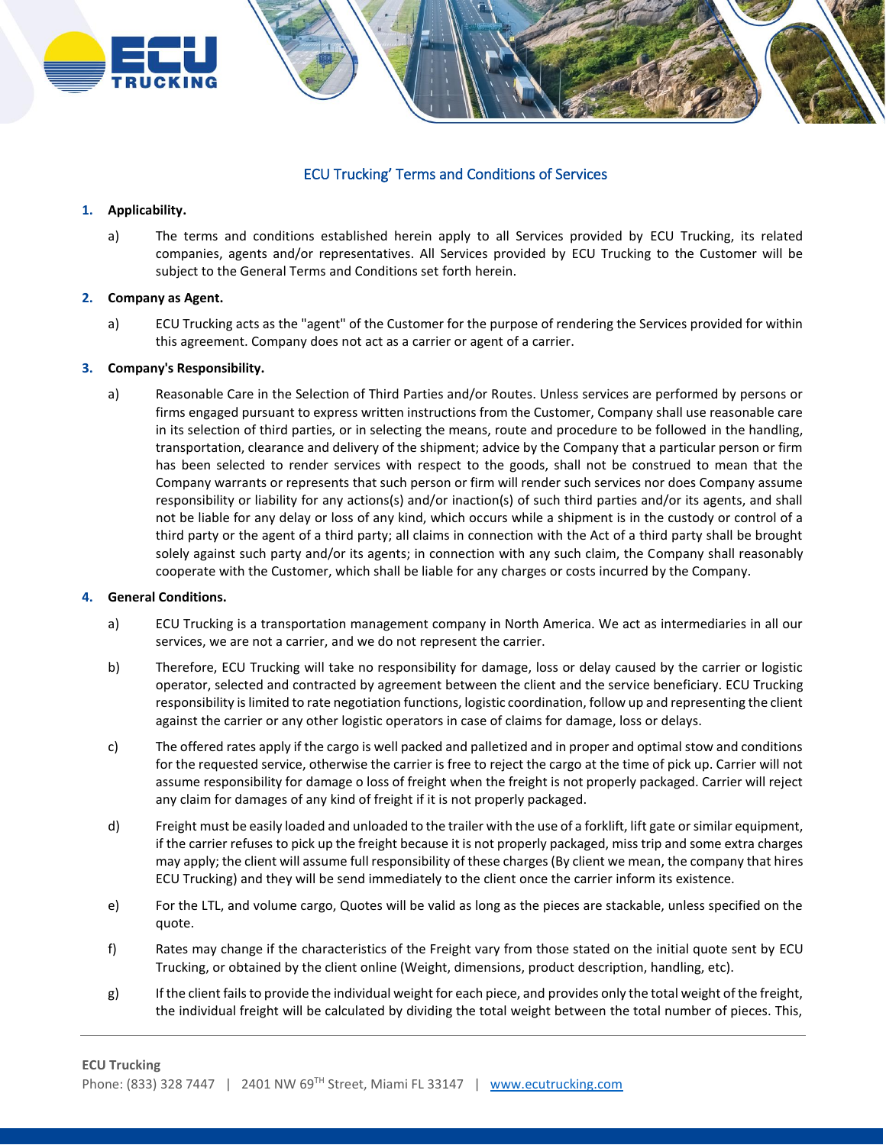

# ECU Trucking' Terms and Conditions of Services

## **1. Applicability.**

a) The terms and conditions established herein apply to all Services provided by ECU Trucking, its related companies, agents and/or representatives. All Services provided by ECU Trucking to the Customer will be subject to the General Terms and Conditions set forth herein.

## **2. Company as Agent.**

a) ECU Trucking acts as the "agent" of the Customer for the purpose of rendering the Services provided for within this agreement. Company does not act as a carrier or agent of a carrier.

## **3. Company's Responsibility.**

a) Reasonable Care in the Selection of Third Parties and/or Routes. Unless services are performed by persons or firms engaged pursuant to express written instructions from the Customer, Company shall use reasonable care in its selection of third parties, or in selecting the means, route and procedure to be followed in the handling, transportation, clearance and delivery of the shipment; advice by the Company that a particular person or firm has been selected to render services with respect to the goods, shall not be construed to mean that the Company warrants or represents that such person or firm will render such services nor does Company assume responsibility or liability for any actions(s) and/or inaction(s) of such third parties and/or its agents, and shall not be liable for any delay or loss of any kind, which occurs while a shipment is in the custody or control of a third party or the agent of a third party; all claims in connection with the Act of a third party shall be brought solely against such party and/or its agents; in connection with any such claim, the Company shall reasonably cooperate with the Customer, which shall be liable for any charges or costs incurred by the Company.

## **4. General Conditions.**

- a) ECU Trucking is a transportation management company in North America. We act as intermediaries in all our services, we are not a carrier, and we do not represent the carrier.
- b) Therefore, ECU Trucking will take no responsibility for damage, loss or delay caused by the carrier or logistic operator, selected and contracted by agreement between the client and the service beneficiary. ECU Trucking responsibility is limited to rate negotiation functions, logistic coordination, follow up and representing the client against the carrier or any other logistic operators in case of claims for damage, loss or delays.
- c) The offered rates apply if the cargo is well packed and palletized and in proper and optimal stow and conditions for the requested service, otherwise the carrier is free to reject the cargo at the time of pick up. Carrier will not assume responsibility for damage o loss of freight when the freight is not properly packaged. Carrier will reject any claim for damages of any kind of freight if it is not properly packaged.
- d) Freight must be easily loaded and unloaded to the trailer with the use of a forklift, lift gate or similar equipment, if the carrier refuses to pick up the freight because it is not properly packaged, miss trip and some extra charges may apply; the client will assume full responsibility of these charges (By client we mean, the company that hires ECU Trucking) and they will be send immediately to the client once the carrier inform its existence.
- e) For the LTL, and volume cargo, Quotes will be valid as long as the pieces are stackable, unless specified on the quote.
- f) Rates may change if the characteristics of the Freight vary from those stated on the initial quote sent by ECU Trucking, or obtained by the client online (Weight, dimensions, product description, handling, etc).
- g) If the client fails to provide the individual weight for each piece, and provides only the total weight of the freight, the individual freight will be calculated by dividing the total weight between the total number of pieces. This,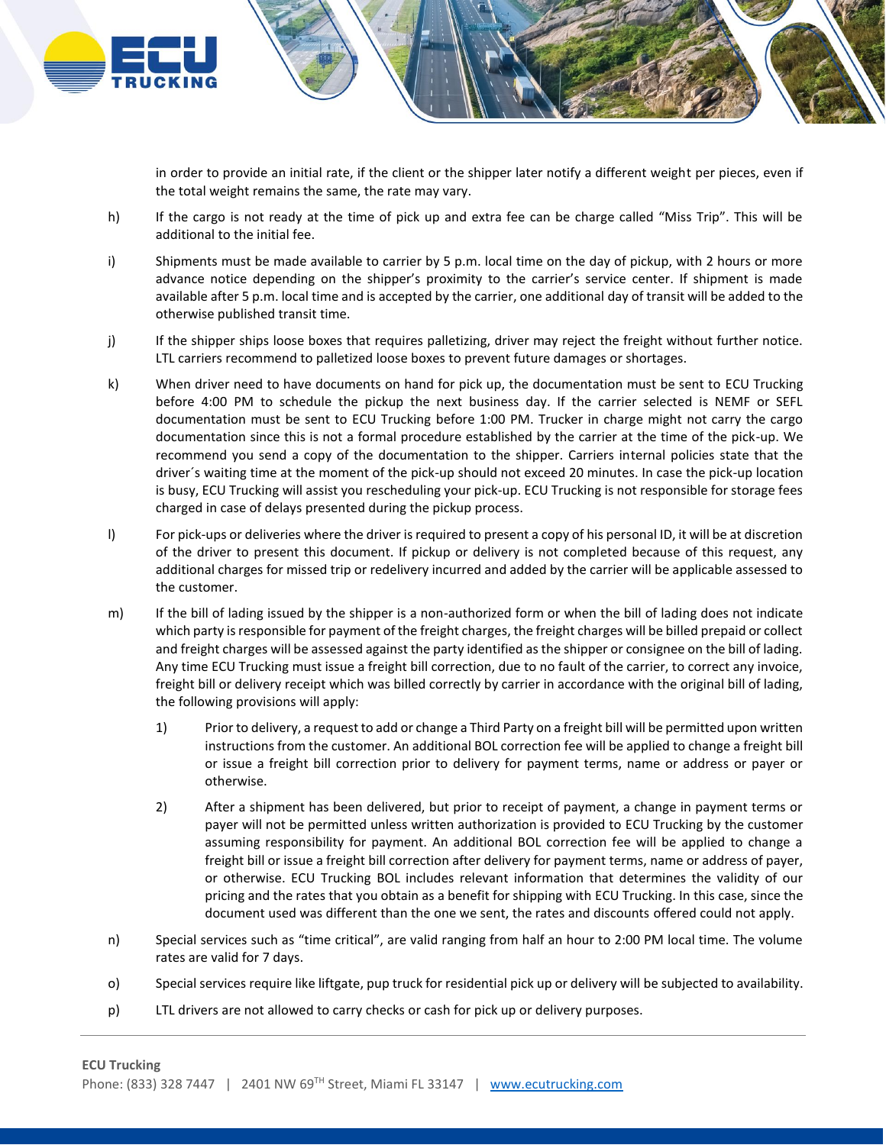

in order to provide an initial rate, if the client or the shipper later notify a different weight per pieces, even if the total weight remains the same, the rate may vary.

- h) If the cargo is not ready at the time of pick up and extra fee can be charge called "Miss Trip". This will be additional to the initial fee.
- i) Shipments must be made available to carrier by 5 p.m. local time on the day of pickup, with 2 hours or more advance notice depending on the shipper's proximity to the carrier's service center. If shipment is made available after 5 p.m. local time and is accepted by the carrier, one additional day of transit will be added to the otherwise published transit time.
- j) If the shipper ships loose boxes that requires palletizing, driver may reject the freight without further notice. LTL carriers recommend to palletized loose boxes to prevent future damages or shortages.
- k) When driver need to have documents on hand for pick up, the documentation must be sent to ECU Trucking before 4:00 PM to schedule the pickup the next business day. If the carrier selected is NEMF or SEFL documentation must be sent to ECU Trucking before 1:00 PM. Trucker in charge might not carry the cargo documentation since this is not a formal procedure established by the carrier at the time of the pick-up. We recommend you send a copy of the documentation to the shipper. Carriers internal policies state that the driver´s waiting time at the moment of the pick-up should not exceed 20 minutes. In case the pick-up location is busy, ECU Trucking will assist you rescheduling your pick-up. ECU Trucking is not responsible for storage fees charged in case of delays presented during the pickup process.
- l) For pick-ups or deliveries where the driver is required to present a copy of his personal ID, it will be at discretion of the driver to present this document. If pickup or delivery is not completed because of this request, any additional charges for missed trip or redelivery incurred and added by the carrier will be applicable assessed to the customer.
- m) If the bill of lading issued by the shipper is a non-authorized form or when the bill of lading does not indicate which party is responsible for payment of the freight charges, the freight charges will be billed prepaid or collect and freight charges will be assessed against the party identified as the shipper or consignee on the bill of lading. Any time ECU Trucking must issue a freight bill correction, due to no fault of the carrier, to correct any invoice, freight bill or delivery receipt which was billed correctly by carrier in accordance with the original bill of lading, the following provisions will apply:
	- 1) Prior to delivery, a request to add or change a Third Party on a freight bill will be permitted upon written instructions from the customer. An additional BOL correction fee will be applied to change a freight bill or issue a freight bill correction prior to delivery for payment terms, name or address or payer or otherwise.
	- 2) After a shipment has been delivered, but prior to receipt of payment, a change in payment terms or payer will not be permitted unless written authorization is provided to ECU Trucking by the customer assuming responsibility for payment. An additional BOL correction fee will be applied to change a freight bill or issue a freight bill correction after delivery for payment terms, name or address of payer, or otherwise. ECU Trucking BOL includes relevant information that determines the validity of our pricing and the rates that you obtain as a benefit for shipping with ECU Trucking. In this case, since the document used was different than the one we sent, the rates and discounts offered could not apply.
- n) Special services such as "time critical", are valid ranging from half an hour to 2:00 PM local time. The volume rates are valid for 7 days.
- o) Special services require like liftgate, pup truck for residential pick up or delivery will be subjected to availability.
- p) LTL drivers are not allowed to carry checks or cash for pick up or delivery purposes.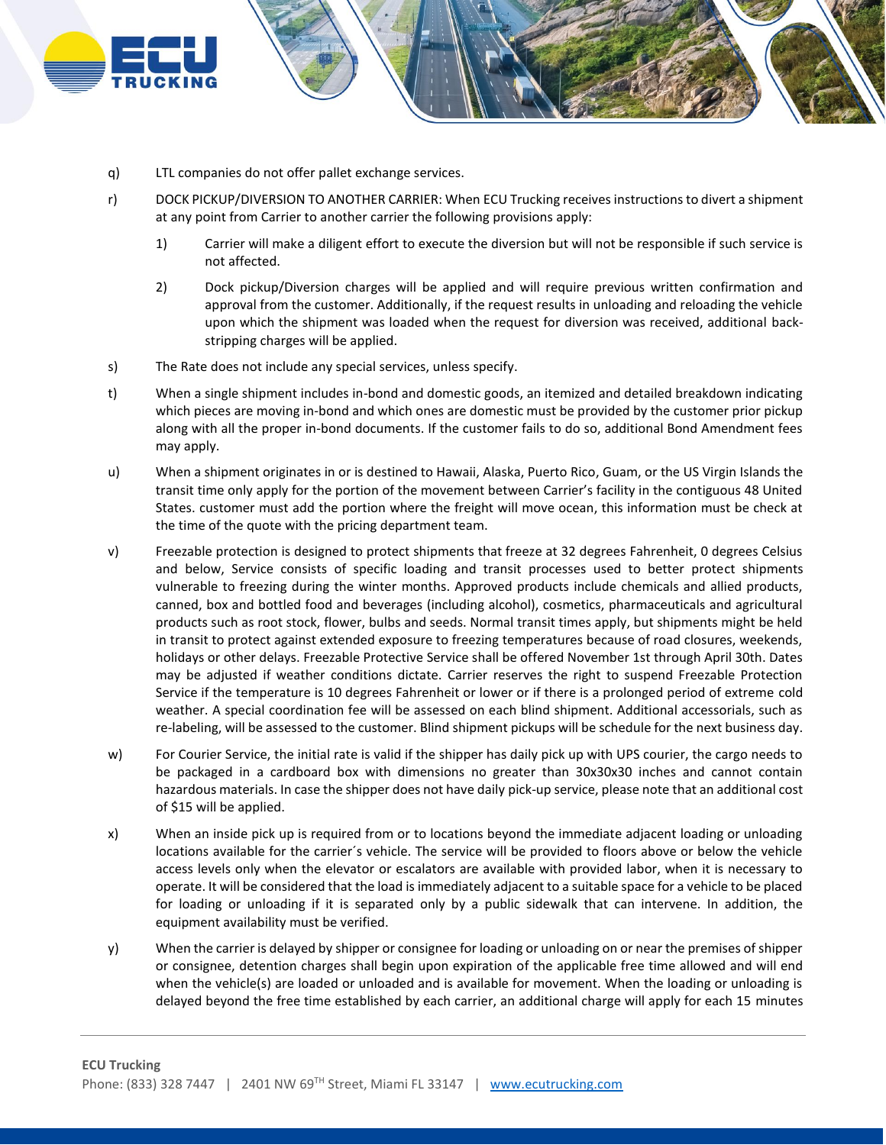

- q) LTL companies do not offer pallet exchange services.
- r) DOCK PICKUP/DIVERSION TO ANOTHER CARRIER: When ECU Trucking receives instructions to divert a shipment at any point from Carrier to another carrier the following provisions apply:
	- 1) Carrier will make a diligent effort to execute the diversion but will not be responsible if such service is not affected.
	- 2) Dock pickup/Diversion charges will be applied and will require previous written confirmation and approval from the customer. Additionally, if the request results in unloading and reloading the vehicle upon which the shipment was loaded when the request for diversion was received, additional backstripping charges will be applied.
- s) The Rate does not include any special services, unless specify.
- t) When a single shipment includes in-bond and domestic goods, an itemized and detailed breakdown indicating which pieces are moving in-bond and which ones are domestic must be provided by the customer prior pickup along with all the proper in-bond documents. If the customer fails to do so, additional Bond Amendment fees may apply.
- u) When a shipment originates in or is destined to Hawaii, Alaska, Puerto Rico, Guam, or the US Virgin Islands the transit time only apply for the portion of the movement between Carrier's facility in the contiguous 48 United States. customer must add the portion where the freight will move ocean, this information must be check at the time of the quote with the pricing department team.
- v) Freezable protection is designed to protect shipments that freeze at 32 degrees Fahrenheit, 0 degrees Celsius and below, Service consists of specific loading and transit processes used to better protect shipments vulnerable to freezing during the winter months. Approved products include chemicals and allied products, canned, box and bottled food and beverages (including alcohol), cosmetics, pharmaceuticals and agricultural products such as root stock, flower, bulbs and seeds. Normal transit times apply, but shipments might be held in transit to protect against extended exposure to freezing temperatures because of road closures, weekends, holidays or other delays. Freezable Protective Service shall be offered November 1st through April 30th. Dates may be adjusted if weather conditions dictate. Carrier reserves the right to suspend Freezable Protection Service if the temperature is 10 degrees Fahrenheit or lower or if there is a prolonged period of extreme cold weather. A special coordination fee will be assessed on each blind shipment. Additional accessorials, such as re-labeling, will be assessed to the customer. Blind shipment pickups will be schedule for the next business day.
- w) For Courier Service, the initial rate is valid if the shipper has daily pick up with UPS courier, the cargo needs to be packaged in a cardboard box with dimensions no greater than 30x30x30 inches and cannot contain hazardous materials. In case the shipper does not have daily pick-up service, please note that an additional cost of \$15 will be applied.
- x) When an inside pick up is required from or to locations beyond the immediate adjacent loading or unloading locations available for the carrier´s vehicle. The service will be provided to floors above or below the vehicle access levels only when the elevator or escalators are available with provided labor, when it is necessary to operate. It will be considered that the load is immediately adjacent to a suitable space for a vehicle to be placed for loading or unloading if it is separated only by a public sidewalk that can intervene. In addition, the equipment availability must be verified.
- y) When the carrier is delayed by shipper or consignee for loading or unloading on or near the premises of shipper or consignee, detention charges shall begin upon expiration of the applicable free time allowed and will end when the vehicle(s) are loaded or unloaded and is available for movement. When the loading or unloading is delayed beyond the free time established by each carrier, an additional charge will apply for each 15 minutes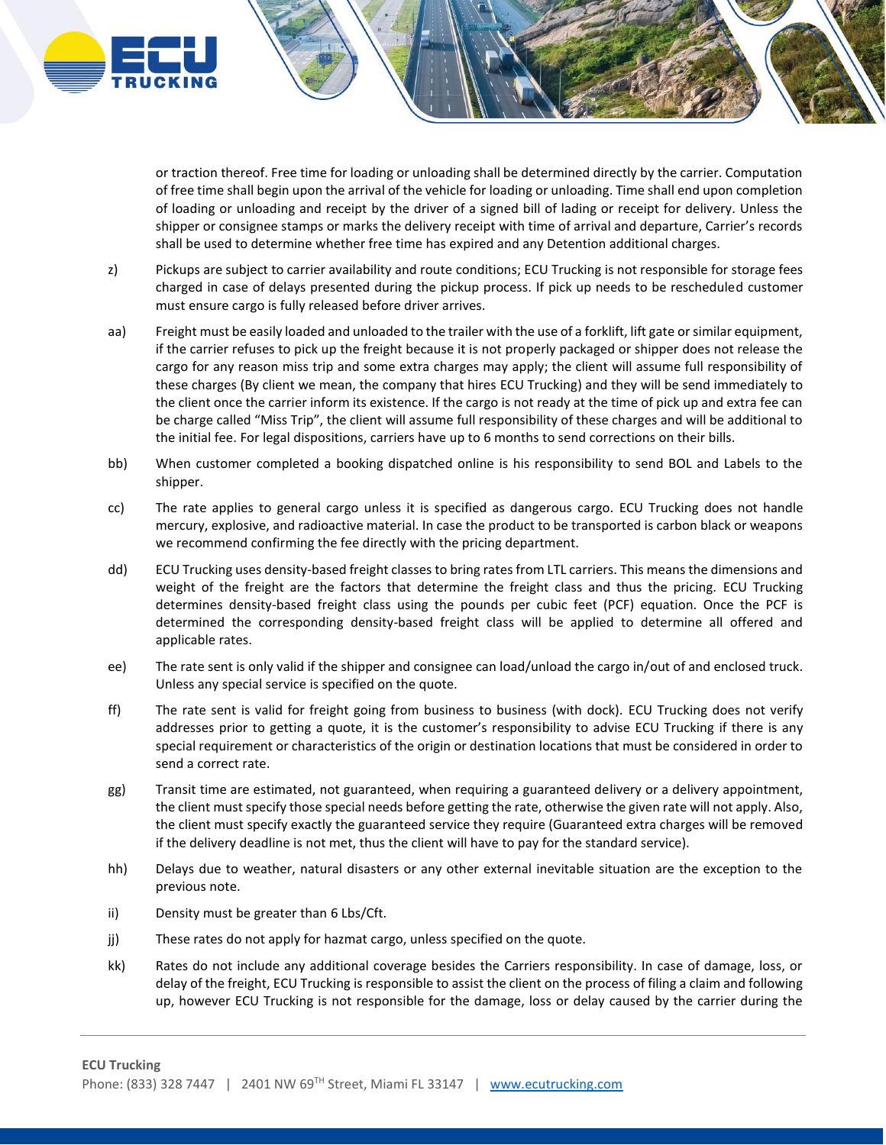

or traction thereof. Free time for loading or unloading shall be determined directly by the carrier. Computation of free time shall begin upon the arrival of the vehicle for loading or unloading. Time shall end upon completion of loading or unloading and receipt by the driver of a signed bill of lading or receipt for delivery. Unless the shipper or consignee stamps or marks the delivery receipt with time of arrival and departure, Carrier's records shall be used to determine whether free time has expired and any Detention additional charges.

- z) Pickups are subject to carrier availability and route conditions; ECU Trucking is not responsible for storage fees charged in case of delays presented during the pickup process. If pick up needs to be rescheduled customer must ensure cargo is fully released before driver arrives.
- aa) Freight must be easily loaded and unloaded to the trailer with the use of a forklift, lift gate or similar equipment, if the carrier refuses to pick up the freight because it is not properly packaged or shipper does not release the cargo for any reason miss trip and some extra charges may apply; the client will assume full responsibility of these charges (By client we mean, the company that hires ECU Trucking) and they will be send immediately to the client once the carrier inform its existence. If the cargo is not ready at the time of pick up and extra fee can be charge called "Miss Trip", the client will assume full responsibility of these charges and will be additional to the initial fee. For legal dispositions, carriers have up to 6 months to send corrections on their bills.
- bb) When customer completed a booking dispatched online is his responsibility to send BOL and Labels to the shipper.
- cc) The rate applies to general cargo unless it is specified as dangerous cargo. ECU Trucking does not handle mercury, explosive, and radioactive material. In case the product to be transported is carbon black or weapons we recommend confirming the fee directly with the pricing department.
- dd) ECU Trucking uses density-based freight classes to bring rates from LTL carriers. This means the dimensions and weight of the freight are the factors that determine the freight class and thus the pricing. ECU Trucking determines density-based freight class using the pounds per cubic feet (PCF) equation. Once the PCF is determined the corresponding density-based freight class will be applied to determine all offered and applicable rates.
- ee) The rate sent is only valid if the shipper and consignee can load/unload the cargo in/out of and enclosed truck. Unless any special service is specified on the quote.
- ff) The rate sent is valid for freight going from business to business (with dock). ECU Trucking does not verify addresses prior to getting a quote, it is the customer's responsibility to advise ECU Trucking if there is any special requirement or characteristics of the origin or destination locations that must be considered in order to send a correct rate.
- gg) Transit time are estimated, not guaranteed, when requiring a guaranteed delivery or a delivery appointment, the client must specify those special needs before getting the rate, otherwise the given rate will not apply. Also, the client must specify exactly the guaranteed service they require (Guaranteed extra charges will be removed if the delivery deadline is not met, thus the client will have to pay for the standard service).
- hh) Delays due to weather, natural disasters or any other external inevitable situation are the exception to the previous note.
- ii) Density must be greater than 6 Lbs/Cft.
- jj) These rates do not apply for hazmat cargo, unless specified on the quote.
- kk) Rates do not include any additional coverage besides the Carriers responsibility. In case of damage, loss, or delay of the freight, ECU Trucking is responsible to assist the client on the process of filing a claim and following up, however ECU Trucking is not responsible for the damage, loss or delay caused by the carrier during the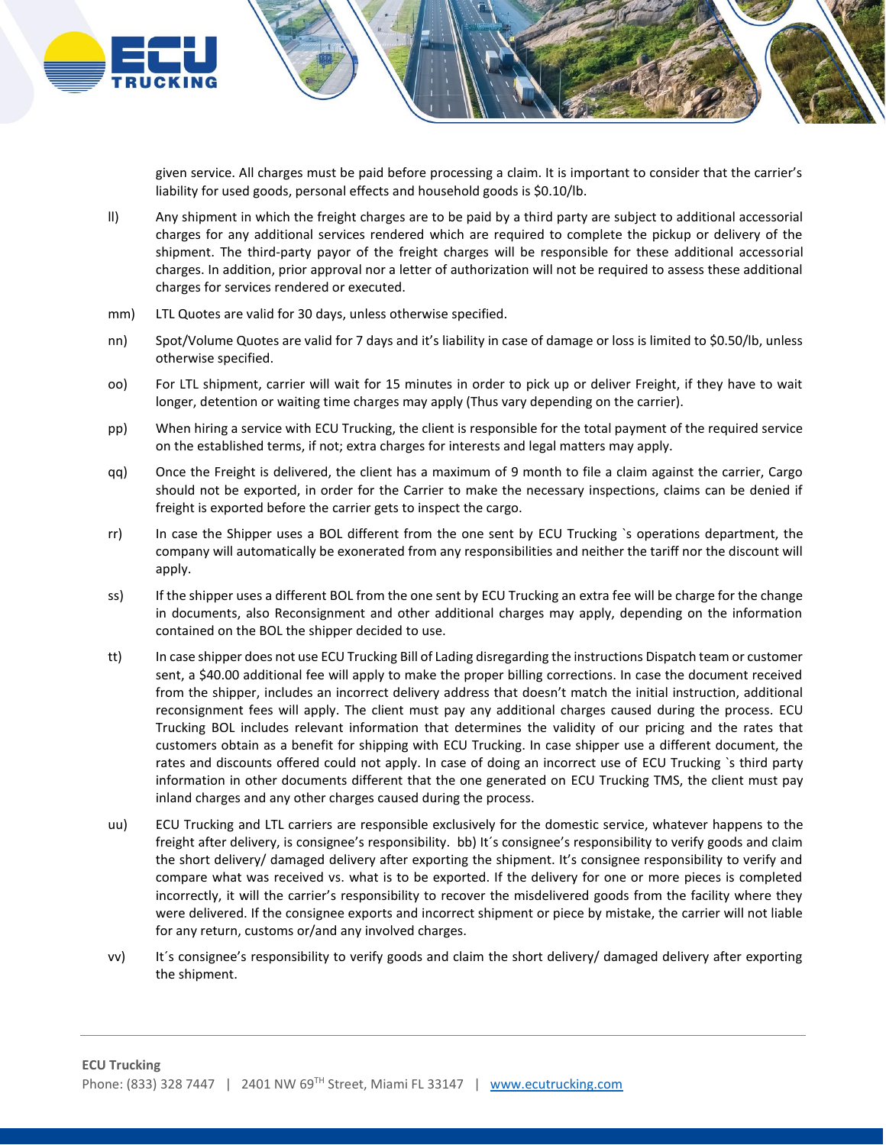

given service. All charges must be paid before processing a claim. It is important to consider that the carrier's liability for used goods, personal effects and household goods is \$0.10/lb.

- ll) Any shipment in which the freight charges are to be paid by a third party are subject to additional accessorial charges for any additional services rendered which are required to complete the pickup or delivery of the shipment. The third-party payor of the freight charges will be responsible for these additional accessorial charges. In addition, prior approval nor a letter of authorization will not be required to assess these additional charges for services rendered or executed.
- mm) LTL Quotes are valid for 30 days, unless otherwise specified.
- nn) Spot/Volume Quotes are valid for 7 days and it's liability in case of damage or loss is limited to \$0.50/lb, unless otherwise specified.
- oo) For LTL shipment, carrier will wait for 15 minutes in order to pick up or deliver Freight, if they have to wait longer, detention or waiting time charges may apply (Thus vary depending on the carrier).
- pp) When hiring a service with ECU Trucking, the client is responsible for the total payment of the required service on the established terms, if not; extra charges for interests and legal matters may apply.
- qq) Once the Freight is delivered, the client has a maximum of 9 month to file a claim against the carrier, Cargo should not be exported, in order for the Carrier to make the necessary inspections, claims can be denied if freight is exported before the carrier gets to inspect the cargo.
- rr) In case the Shipper uses a BOL different from the one sent by ECU Trucking `s operations department, the company will automatically be exonerated from any responsibilities and neither the tariff nor the discount will apply.
- ss) If the shipper uses a different BOL from the one sent by ECU Trucking an extra fee will be charge for the change in documents, also Reconsignment and other additional charges may apply, depending on the information contained on the BOL the shipper decided to use.
- tt) In case shipper does not use ECU Trucking Bill of Lading disregarding the instructions Dispatch team or customer sent, a \$40.00 additional fee will apply to make the proper billing corrections. In case the document received from the shipper, includes an incorrect delivery address that doesn't match the initial instruction, additional reconsignment fees will apply. The client must pay any additional charges caused during the process. ECU Trucking BOL includes relevant information that determines the validity of our pricing and the rates that customers obtain as a benefit for shipping with ECU Trucking. In case shipper use a different document, the rates and discounts offered could not apply. In case of doing an incorrect use of ECU Trucking `s third party information in other documents different that the one generated on ECU Trucking TMS, the client must pay inland charges and any other charges caused during the process.
- uu) ECU Trucking and LTL carriers are responsible exclusively for the domestic service, whatever happens to the freight after delivery, is consignee's responsibility. bb) It´s consignee's responsibility to verify goods and claim the short delivery/ damaged delivery after exporting the shipment. It's consignee responsibility to verify and compare what was received vs. what is to be exported. If the delivery for one or more pieces is completed incorrectly, it will the carrier's responsibility to recover the misdelivered goods from the facility where they were delivered. If the consignee exports and incorrect shipment or piece by mistake, the carrier will not liable for any return, customs or/and any involved charges.
- vv) It´s consignee's responsibility to verify goods and claim the short delivery/ damaged delivery after exporting the shipment.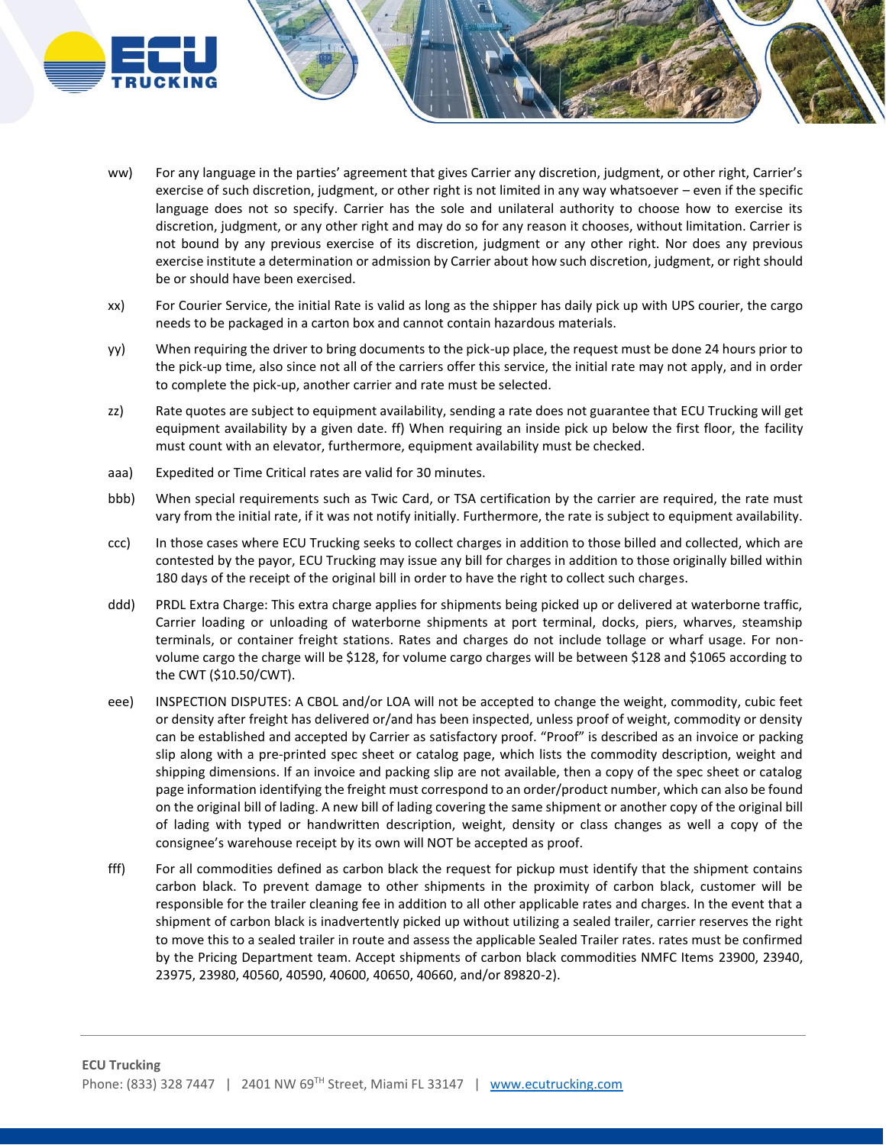

- ww) For any language in the parties' agreement that gives Carrier any discretion, judgment, or other right, Carrier's exercise of such discretion, judgment, or other right is not limited in any way whatsoever – even if the specific language does not so specify. Carrier has the sole and unilateral authority to choose how to exercise its discretion, judgment, or any other right and may do so for any reason it chooses, without limitation. Carrier is not bound by any previous exercise of its discretion, judgment or any other right. Nor does any previous exercise institute a determination or admission by Carrier about how such discretion, judgment, or right should be or should have been exercised.
- xx) For Courier Service, the initial Rate is valid as long as the shipper has daily pick up with UPS courier, the cargo needs to be packaged in a carton box and cannot contain hazardous materials.
- yy) When requiring the driver to bring documents to the pick-up place, the request must be done 24 hours prior to the pick-up time, also since not all of the carriers offer this service, the initial rate may not apply, and in order to complete the pick-up, another carrier and rate must be selected.
- zz) Rate quotes are subject to equipment availability, sending a rate does not guarantee that ECU Trucking will get equipment availability by a given date. ff) When requiring an inside pick up below the first floor, the facility must count with an elevator, furthermore, equipment availability must be checked.
- aaa) Expedited or Time Critical rates are valid for 30 minutes.
- bbb) When special requirements such as Twic Card, or TSA certification by the carrier are required, the rate must vary from the initial rate, if it was not notify initially. Furthermore, the rate is subject to equipment availability.
- ccc) In those cases where ECU Trucking seeks to collect charges in addition to those billed and collected, which are contested by the payor, ECU Trucking may issue any bill for charges in addition to those originally billed within 180 days of the receipt of the original bill in order to have the right to collect such charges.
- ddd) PRDL Extra Charge: This extra charge applies for shipments being picked up or delivered at waterborne traffic, Carrier loading or unloading of waterborne shipments at port terminal, docks, piers, wharves, steamship terminals, or container freight stations. Rates and charges do not include tollage or wharf usage. For nonvolume cargo the charge will be \$128, for volume cargo charges will be between \$128 and \$1065 according to the CWT (\$10.50/CWT).
- eee) INSPECTION DISPUTES: A CBOL and/or LOA will not be accepted to change the weight, commodity, cubic feet or density after freight has delivered or/and has been inspected, unless proof of weight, commodity or density can be established and accepted by Carrier as satisfactory proof. "Proof" is described as an invoice or packing slip along with a pre-printed spec sheet or catalog page, which lists the commodity description, weight and shipping dimensions. If an invoice and packing slip are not available, then a copy of the spec sheet or catalog page information identifying the freight must correspond to an order/product number, which can also be found on the original bill of lading. A new bill of lading covering the same shipment or another copy of the original bill of lading with typed or handwritten description, weight, density or class changes as well a copy of the consignee's warehouse receipt by its own will NOT be accepted as proof.
- fff) For all commodities defined as carbon black the request for pickup must identify that the shipment contains carbon black. To prevent damage to other shipments in the proximity of carbon black, customer will be responsible for the trailer cleaning fee in addition to all other applicable rates and charges. In the event that a shipment of carbon black is inadvertently picked up without utilizing a sealed trailer, carrier reserves the right to move this to a sealed trailer in route and assess the applicable Sealed Trailer rates. rates must be confirmed by the Pricing Department team. Accept shipments of carbon black commodities NMFC Items 23900, 23940, 23975, 23980, 40560, 40590, 40600, 40650, 40660, and/or 89820-2).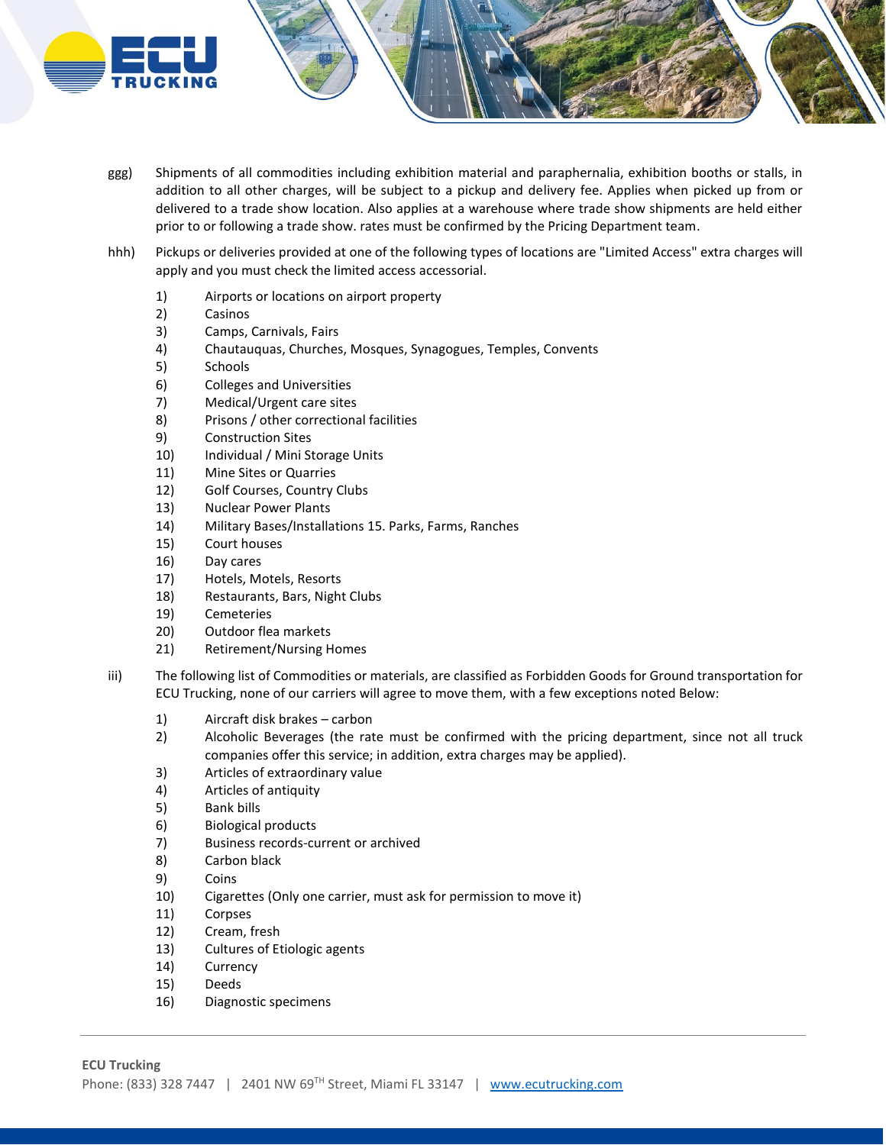

- ggg) Shipments of all commodities including exhibition material and paraphernalia, exhibition booths or stalls, in addition to all other charges, will be subject to a pickup and delivery fee. Applies when picked up from or delivered to a trade show location. Also applies at a warehouse where trade show shipments are held either prior to or following a trade show. rates must be confirmed by the Pricing Department team.
- hhh) Pickups or deliveries provided at one of the following types of locations are "Limited Access" extra charges will apply and you must check the limited access accessorial.
	- 1) Airports or locations on airport property
	- 2) Casinos
	- 3) Camps, Carnivals, Fairs
	- 4) Chautauquas, Churches, Mosques, Synagogues, Temples, Convents
	- 5) Schools
	- 6) Colleges and Universities
	- 7) Medical/Urgent care sites
	- 8) Prisons / other correctional facilities
	- 9) Construction Sites
	- 10) Individual / Mini Storage Units
	- 11) Mine Sites or Quarries
	- 12) Golf Courses, Country Clubs
	- 13) Nuclear Power Plants
	- 14) Military Bases/Installations 15. Parks, Farms, Ranches
	- 15) Court houses
	- 16) Day cares
	- 17) Hotels, Motels, Resorts
	- 18) Restaurants, Bars, Night Clubs
	- 19) Cemeteries
	- 20) Outdoor flea markets
	- 21) Retirement/Nursing Homes
- iii) The following list of Commodities or materials, are classified as Forbidden Goods for Ground transportation for ECU Trucking, none of our carriers will agree to move them, with a few exceptions noted Below:
	- 1) Aircraft disk brakes carbon
	- 2) Alcoholic Beverages (the rate must be confirmed with the pricing department, since not all truck companies offer this service; in addition, extra charges may be applied).
	- 3) Articles of extraordinary value
	- 4) Articles of antiquity
	- 5) Bank bills
	- 6) Biological products
	- 7) Business records-current or archived
	- 8) Carbon black
	- 9) Coins
	- 10) Cigarettes (Only one carrier, must ask for permission to move it)
	- 11) Corpses
	- 12) Cream, fresh
	- 13) Cultures of Etiologic agents
	- 14) Currency
	- 15) Deeds
	- 16) Diagnostic specimens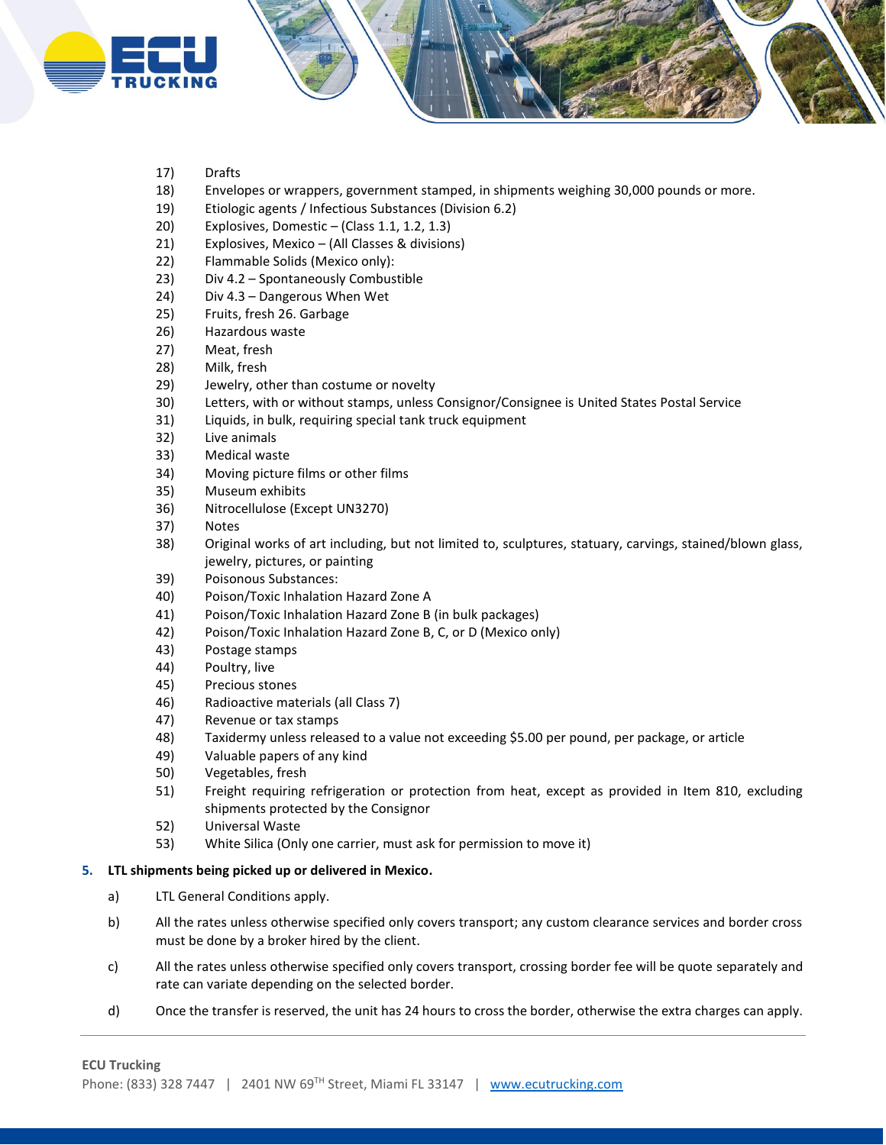

- 17) Drafts
- 18) Envelopes or wrappers, government stamped, in shipments weighing 30,000 pounds or more.
- 19) Etiologic agents / Infectious Substances (Division 6.2)
- 20) Explosives, Domestic (Class 1.1, 1.2, 1.3)
- 21) Explosives, Mexico (All Classes & divisions)
- 22) Flammable Solids (Mexico only):
- 23) Div 4.2 Spontaneously Combustible
- 24) Div 4.3 Dangerous When Wet
- 25) Fruits, fresh 26. Garbage
- 26) Hazardous waste
- 27) Meat, fresh
- 28) Milk, fresh
- 29) Jewelry, other than costume or novelty
- 30) Letters, with or without stamps, unless Consignor/Consignee is United States Postal Service
- 31) Liquids, in bulk, requiring special tank truck equipment
- 32) Live animals
- 33) Medical waste
- 34) Moving picture films or other films
- 35) Museum exhibits
- 36) Nitrocellulose (Except UN3270)
- 37) Notes
- 38) Original works of art including, but not limited to, sculptures, statuary, carvings, stained/blown glass, jewelry, pictures, or painting
- 39) Poisonous Substances:
- 40) Poison/Toxic Inhalation Hazard Zone A
- 41) Poison/Toxic Inhalation Hazard Zone B (in bulk packages)
- 42) Poison/Toxic Inhalation Hazard Zone B, C, or D (Mexico only)
- 43) Postage stamps
- 44) Poultry, live
- 45) Precious stones
- 46) Radioactive materials (all Class 7)
- 47) Revenue or tax stamps
- 48) Taxidermy unless released to a value not exceeding \$5.00 per pound, per package, or article
- 49) Valuable papers of any kind
- 50) Vegetables, fresh
- 51) Freight requiring refrigeration or protection from heat, except as provided in Item 810, excluding shipments protected by the Consignor
- 52) Universal Waste
- 53) White Silica (Only one carrier, must ask for permission to move it)

# **5. LTL shipments being picked up or delivered in Mexico.**

- a) LTL General Conditions apply.
- b) All the rates unless otherwise specified only covers transport; any custom clearance services and border cross must be done by a broker hired by the client.
- c) All the rates unless otherwise specified only covers transport, crossing border fee will be quote separately and rate can variate depending on the selected border.
- d) Once the transfer is reserved, the unit has 24 hours to cross the border, otherwise the extra charges can apply.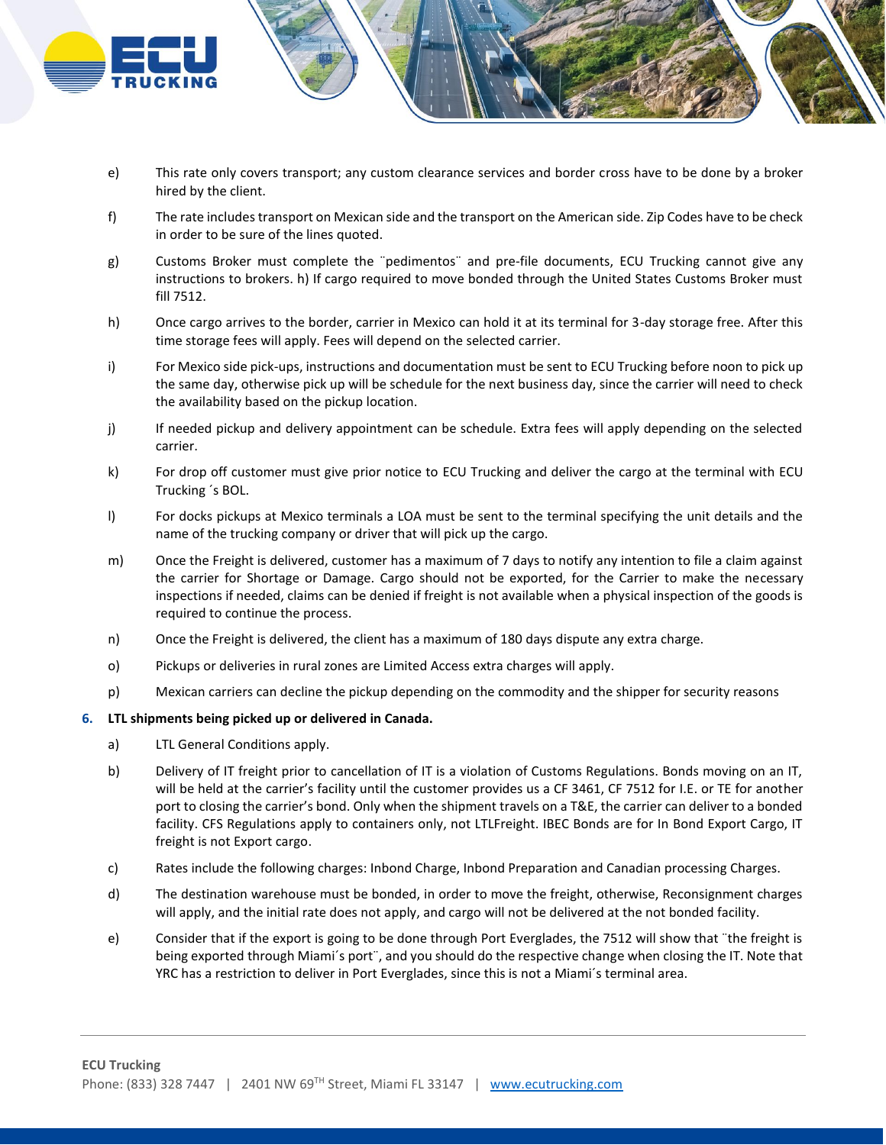

- e) This rate only covers transport; any custom clearance services and border cross have to be done by a broker hired by the client.
- f) The rate includes transport on Mexican side and the transport on the American side. Zip Codes have to be check in order to be sure of the lines quoted.
- g) Customs Broker must complete the ¨pedimentos¨ and pre-file documents, ECU Trucking cannot give any instructions to brokers. h) If cargo required to move bonded through the United States Customs Broker must fill 7512.
- h) Once cargo arrives to the border, carrier in Mexico can hold it at its terminal for 3-day storage free. After this time storage fees will apply. Fees will depend on the selected carrier.
- i) For Mexico side pick-ups, instructions and documentation must be sent to ECU Trucking before noon to pick up the same day, otherwise pick up will be schedule for the next business day, since the carrier will need to check the availability based on the pickup location.
- j) If needed pickup and delivery appointment can be schedule. Extra fees will apply depending on the selected carrier.
- k) For drop off customer must give prior notice to ECU Trucking and deliver the cargo at the terminal with ECU Trucking ´s BOL.
- l) For docks pickups at Mexico terminals a LOA must be sent to the terminal specifying the unit details and the name of the trucking company or driver that will pick up the cargo.
- m) Once the Freight is delivered, customer has a maximum of 7 days to notify any intention to file a claim against the carrier for Shortage or Damage. Cargo should not be exported, for the Carrier to make the necessary inspections if needed, claims can be denied if freight is not available when a physical inspection of the goods is required to continue the process.
- n) Once the Freight is delivered, the client has a maximum of 180 days dispute any extra charge.
- o) Pickups or deliveries in rural zones are Limited Access extra charges will apply.
- p) Mexican carriers can decline the pickup depending on the commodity and the shipper for security reasons

#### **6. LTL shipments being picked up or delivered in Canada.**

- a) LTL General Conditions apply.
- b) Delivery of IT freight prior to cancellation of IT is a violation of Customs Regulations. Bonds moving on an IT, will be held at the carrier's facility until the customer provides us a CF 3461, CF 7512 for I.E. or TE for another port to closing the carrier's bond. Only when the shipment travels on a T&E, the carrier can deliver to a bonded facility. CFS Regulations apply to containers only, not LTLFreight. IBEC Bonds are for In Bond Export Cargo, IT freight is not Export cargo.
- c) Rates include the following charges: Inbond Charge, Inbond Preparation and Canadian processing Charges.
- d) The destination warehouse must be bonded, in order to move the freight, otherwise, Reconsignment charges will apply, and the initial rate does not apply, and cargo will not be delivered at the not bonded facility.
- e) Consider that if the export is going to be done through Port Everglades, the 7512 will show that ¨the freight is being exported through Miami´s port¨, and you should do the respective change when closing the IT. Note that YRC has a restriction to deliver in Port Everglades, since this is not a Miami´s terminal area.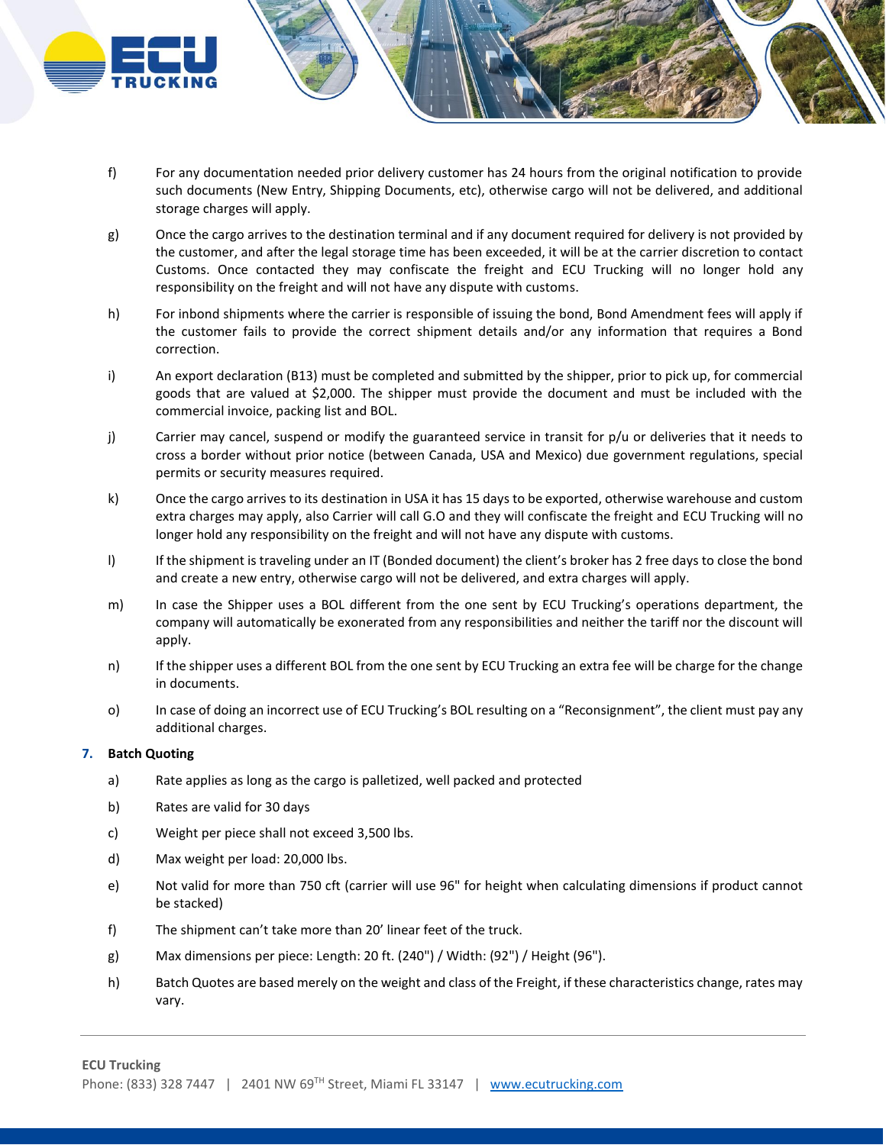

- f) For any documentation needed prior delivery customer has 24 hours from the original notification to provide such documents (New Entry, Shipping Documents, etc), otherwise cargo will not be delivered, and additional storage charges will apply.
- g) Once the cargo arrives to the destination terminal and if any document required for delivery is not provided by the customer, and after the legal storage time has been exceeded, it will be at the carrier discretion to contact Customs. Once contacted they may confiscate the freight and ECU Trucking will no longer hold any responsibility on the freight and will not have any dispute with customs.
- h) For inbond shipments where the carrier is responsible of issuing the bond, Bond Amendment fees will apply if the customer fails to provide the correct shipment details and/or any information that requires a Bond correction.
- i) An export declaration (B13) must be completed and submitted by the shipper, prior to pick up, for commercial goods that are valued at \$2,000. The shipper must provide the document and must be included with the commercial invoice, packing list and BOL.
- j) Carrier may cancel, suspend or modify the guaranteed service in transit for p/u or deliveries that it needs to cross a border without prior notice (between Canada, USA and Mexico) due government regulations, special permits or security measures required.
- k) Once the cargo arrives to its destination in USA it has 15 days to be exported, otherwise warehouse and custom extra charges may apply, also Carrier will call G.O and they will confiscate the freight and ECU Trucking will no longer hold any responsibility on the freight and will not have any dispute with customs.
- l) If the shipment is traveling under an IT (Bonded document) the client's broker has 2 free days to close the bond and create a new entry, otherwise cargo will not be delivered, and extra charges will apply.
- m) In case the Shipper uses a BOL different from the one sent by ECU Trucking's operations department, the company will automatically be exonerated from any responsibilities and neither the tariff nor the discount will apply.
- n) If the shipper uses a different BOL from the one sent by ECU Trucking an extra fee will be charge for the change in documents.
- o) In case of doing an incorrect use of ECU Trucking's BOL resulting on a "Reconsignment", the client must pay any additional charges.

# **7. Batch Quoting**

- a) Rate applies as long as the cargo is palletized, well packed and protected
- b) Rates are valid for 30 days
- c) Weight per piece shall not exceed 3,500 lbs.
- d) Max weight per load: 20,000 lbs.
- e) Not valid for more than 750 cft (carrier will use 96" for height when calculating dimensions if product cannot be stacked)
- f) The shipment can't take more than 20' linear feet of the truck.
- g) Max dimensions per piece: Length: 20 ft. (240") / Width: (92") / Height (96").
- h) Batch Quotes are based merely on the weight and class of the Freight, if these characteristics change, rates may vary.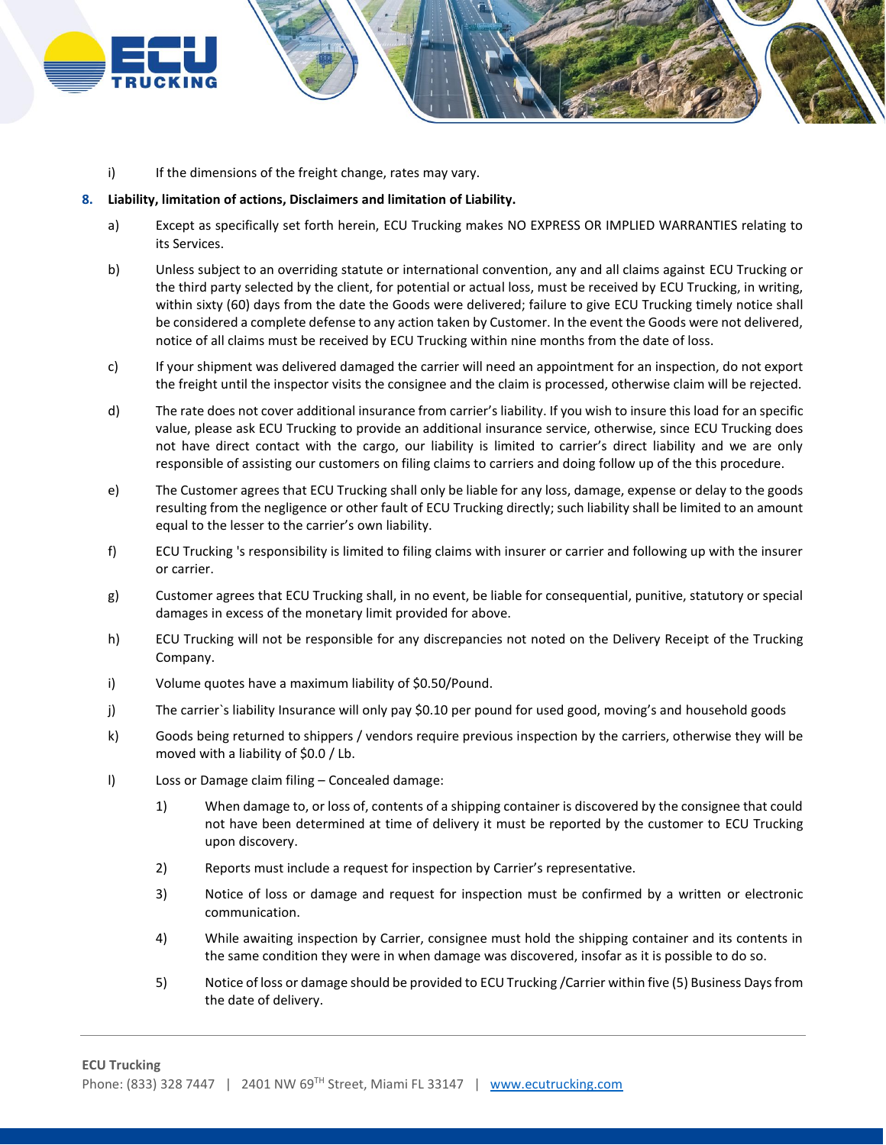

i) If the dimensions of the freight change, rates may vary.

# **8. Liability, limitation of actions, Disclaimers and limitation of Liability.**

- a) Except as specifically set forth herein, ECU Trucking makes NO EXPRESS OR IMPLIED WARRANTIES relating to its Services.
- b) Unless subject to an overriding statute or international convention, any and all claims against ECU Trucking or the third party selected by the client, for potential or actual loss, must be received by ECU Trucking, in writing, within sixty (60) days from the date the Goods were delivered; failure to give ECU Trucking timely notice shall be considered a complete defense to any action taken by Customer. In the event the Goods were not delivered, notice of all claims must be received by ECU Trucking within nine months from the date of loss.
- c) If your shipment was delivered damaged the carrier will need an appointment for an inspection, do not export the freight until the inspector visits the consignee and the claim is processed, otherwise claim will be rejected.
- d) The rate does not cover additional insurance from carrier's liability. If you wish to insure this load for an specific value, please ask ECU Trucking to provide an additional insurance service, otherwise, since ECU Trucking does not have direct contact with the cargo, our liability is limited to carrier's direct liability and we are only responsible of assisting our customers on filing claims to carriers and doing follow up of the this procedure.
- e) The Customer agrees that ECU Trucking shall only be liable for any loss, damage, expense or delay to the goods resulting from the negligence or other fault of ECU Trucking directly; such liability shall be limited to an amount equal to the lesser to the carrier's own liability.
- f) ECU Trucking 's responsibility is limited to filing claims with insurer or carrier and following up with the insurer or carrier.
- g) Customer agrees that ECU Trucking shall, in no event, be liable for consequential, punitive, statutory or special damages in excess of the monetary limit provided for above.
- h) ECU Trucking will not be responsible for any discrepancies not noted on the Delivery Receipt of the Trucking Company.
- i) Volume quotes have a maximum liability of \$0.50/Pound.
- j) The carrier`s liability Insurance will only pay \$0.10 per pound for used good, moving's and household goods
- k) Goods being returned to shippers / vendors require previous inspection by the carriers, otherwise they will be moved with a liability of \$0.0 / Lb.
- l) Loss or Damage claim filing Concealed damage:
	- 1) When damage to, or loss of, contents of a shipping container is discovered by the consignee that could not have been determined at time of delivery it must be reported by the customer to ECU Trucking upon discovery.
	- 2) Reports must include a request for inspection by Carrier's representative.
	- 3) Notice of loss or damage and request for inspection must be confirmed by a written or electronic communication.
	- 4) While awaiting inspection by Carrier, consignee must hold the shipping container and its contents in the same condition they were in when damage was discovered, insofar as it is possible to do so.
	- 5) Notice of loss or damage should be provided to ECU Trucking /Carrier within five (5) Business Days from the date of delivery.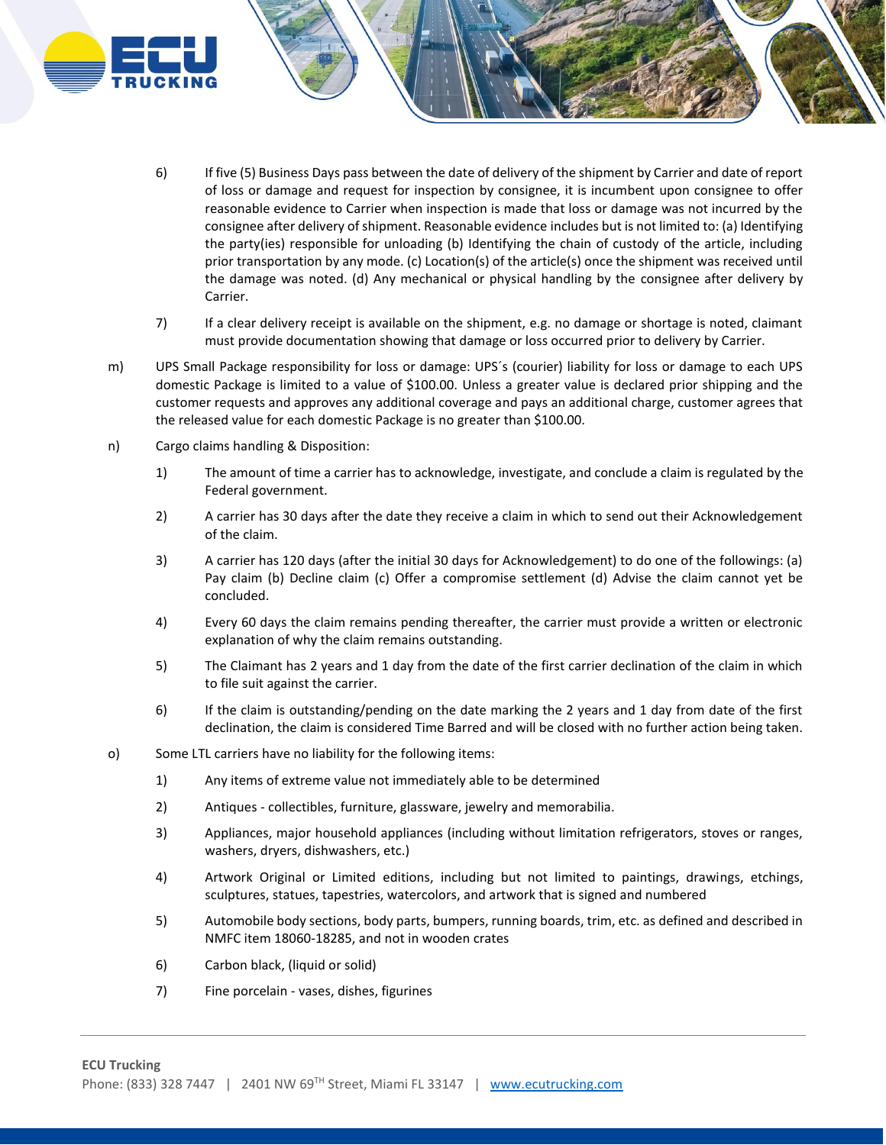

- 6) If five (5) Business Days pass between the date of delivery of the shipment by Carrier and date of report of loss or damage and request for inspection by consignee, it is incumbent upon consignee to offer reasonable evidence to Carrier when inspection is made that loss or damage was not incurred by the consignee after delivery of shipment. Reasonable evidence includes but is not limited to: (a) Identifying the party(ies) responsible for unloading (b) Identifying the chain of custody of the article, including prior transportation by any mode. (c) Location(s) of the article(s) once the shipment was received until the damage was noted. (d) Any mechanical or physical handling by the consignee after delivery by Carrier.
- 7) If a clear delivery receipt is available on the shipment, e.g. no damage or shortage is noted, claimant must provide documentation showing that damage or loss occurred prior to delivery by Carrier.
- m) UPS Small Package responsibility for loss or damage: UPS´s (courier) liability for loss or damage to each UPS domestic Package is limited to a value of \$100.00. Unless a greater value is declared prior shipping and the customer requests and approves any additional coverage and pays an additional charge, customer agrees that the released value for each domestic Package is no greater than \$100.00.
- n) Cargo claims handling & Disposition:
	- 1) The amount of time a carrier has to acknowledge, investigate, and conclude a claim is regulated by the Federal government.
	- 2) A carrier has 30 days after the date they receive a claim in which to send out their Acknowledgement of the claim.
	- 3) A carrier has 120 days (after the initial 30 days for Acknowledgement) to do one of the followings: (a) Pay claim (b) Decline claim (c) Offer a compromise settlement (d) Advise the claim cannot yet be concluded.
	- 4) Every 60 days the claim remains pending thereafter, the carrier must provide a written or electronic explanation of why the claim remains outstanding.
	- 5) The Claimant has 2 years and 1 day from the date of the first carrier declination of the claim in which to file suit against the carrier.
	- 6) If the claim is outstanding/pending on the date marking the 2 years and 1 day from date of the first declination, the claim is considered Time Barred and will be closed with no further action being taken.
- o) Some LTL carriers have no liability for the following items:
	- 1) Any items of extreme value not immediately able to be determined
	- 2) Antiques collectibles, furniture, glassware, jewelry and memorabilia.
	- 3) Appliances, major household appliances (including without limitation refrigerators, stoves or ranges, washers, dryers, dishwashers, etc.)
	- 4) Artwork Original or Limited editions, including but not limited to paintings, drawings, etchings, sculptures, statues, tapestries, watercolors, and artwork that is signed and numbered
	- 5) Automobile body sections, body parts, bumpers, running boards, trim, etc. as defined and described in NMFC item 18060-18285, and not in wooden crates
	- 6) Carbon black, (liquid or solid)
	- 7) Fine porcelain vases, dishes, figurines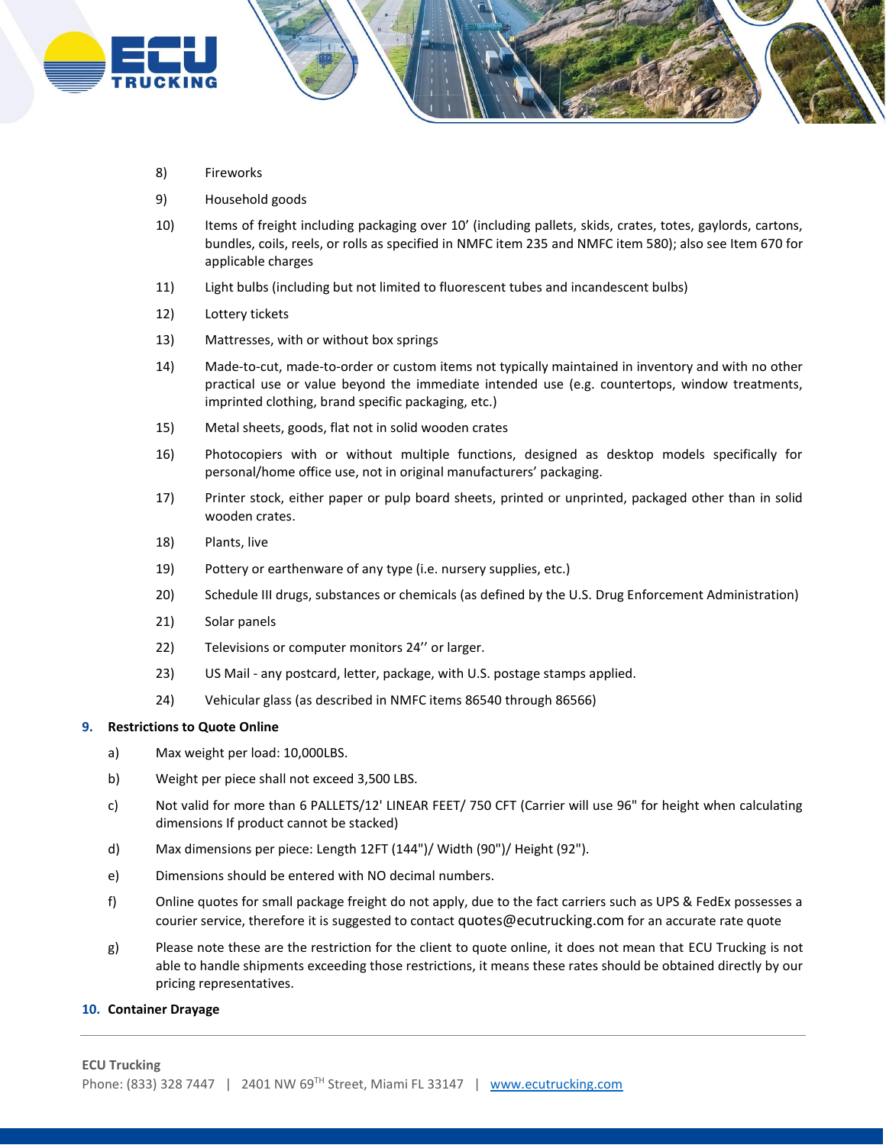

- 8) Fireworks
- 9) Household goods
- 10) Items of freight including packaging over 10' (including pallets, skids, crates, totes, gaylords, cartons, bundles, coils, reels, or rolls as specified in NMFC item 235 and NMFC item 580); also see Item 670 for applicable charges
- 11) Light bulbs (including but not limited to fluorescent tubes and incandescent bulbs)
- 12) Lottery tickets
- 13) Mattresses, with or without box springs
- 14) Made-to-cut, made-to-order or custom items not typically maintained in inventory and with no other practical use or value beyond the immediate intended use (e.g. countertops, window treatments, imprinted clothing, brand specific packaging, etc.)
- 15) Metal sheets, goods, flat not in solid wooden crates
- 16) Photocopiers with or without multiple functions, designed as desktop models specifically for personal/home office use, not in original manufacturers' packaging.
- 17) Printer stock, either paper or pulp board sheets, printed or unprinted, packaged other than in solid wooden crates.
- 18) Plants, live
- 19) Pottery or earthenware of any type (i.e. nursery supplies, etc.)
- 20) Schedule III drugs, substances or chemicals (as defined by the U.S. Drug Enforcement Administration)
- 21) Solar panels
- 22) Televisions or computer monitors 24'' or larger.
- 23) US Mail any postcard, letter, package, with U.S. postage stamps applied.
- 24) Vehicular glass (as described in NMFC items 86540 through 86566)

#### **9. Restrictions to Quote Online**

- a) Max weight per load: 10,000LBS.
- b) Weight per piece shall not exceed 3,500 LBS.
- c) Not valid for more than 6 PALLETS/12' LINEAR FEET/ 750 CFT (Carrier will use 96" for height when calculating dimensions If product cannot be stacked)
- d) Max dimensions per piece: Length 12FT (144")/ Width (90")/ Height (92").
- e) Dimensions should be entered with NO decimal numbers.
- f) Online quotes for small package freight do not apply, due to the fact carriers such as UPS & FedEx possesses a courier service, therefore it is suggested to contact [quotes@ecutrucking.com](mailto:quotes@ecutrucking.com) for an accurate rate quote
- g) Please note these are the restriction for the client to quote online, it does not mean that ECU Trucking is not able to handle shipments exceeding those restrictions, it means these rates should be obtained directly by our pricing representatives.

# **10. Container Drayage**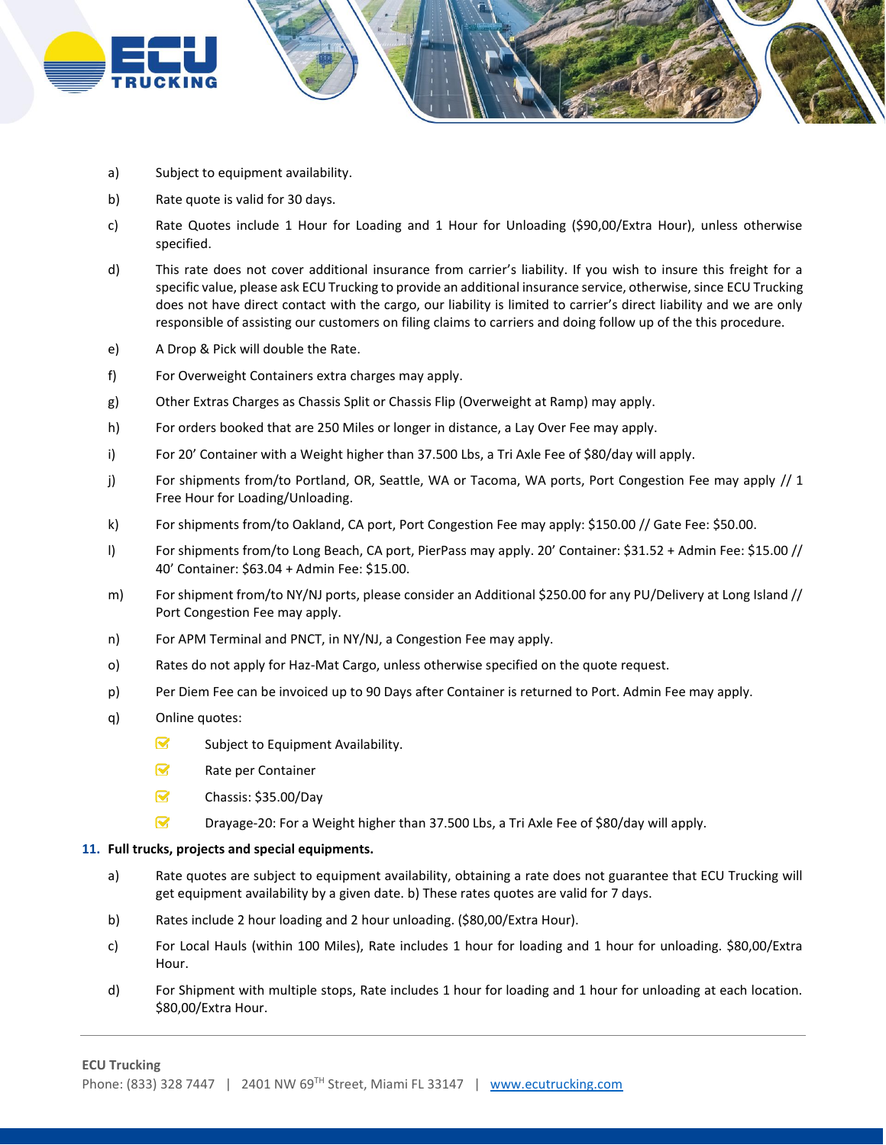

- a) Subject to equipment availability.
- b) Rate quote is valid for 30 days.
- c) Rate Quotes include 1 Hour for Loading and 1 Hour for Unloading (\$90,00/Extra Hour), unless otherwise specified.
- d) This rate does not cover additional insurance from carrier's liability. If you wish to insure this freight for a specific value, please ask ECU Trucking to provide an additional insurance service, otherwise, since ECU Trucking does not have direct contact with the cargo, our liability is limited to carrier's direct liability and we are only responsible of assisting our customers on filing claims to carriers and doing follow up of the this procedure.
- e) A Drop & Pick will double the Rate.
- f) For Overweight Containers extra charges may apply.
- g) Other Extras Charges as Chassis Split or Chassis Flip (Overweight at Ramp) may apply.
- h) For orders booked that are 250 Miles or longer in distance, a Lay Over Fee may apply.
- i) For 20' Container with a Weight higher than 37.500 Lbs, a Tri Axle Fee of \$80/day will apply.
- j) For shipments from/to Portland, OR, Seattle, WA or Tacoma, WA ports, Port Congestion Fee may apply // 1 Free Hour for Loading/Unloading.
- k) For shipments from/to Oakland, CA port, Port Congestion Fee may apply: \$150.00 // Gate Fee: \$50.00.
- l) For shipments from/to Long Beach, CA port, PierPass may apply. 20' Container: \$31.52 + Admin Fee: \$15.00 // 40' Container: \$63.04 + Admin Fee: \$15.00.
- m) For shipment from/to NY/NJ ports, please consider an Additional \$250.00 for any PU/Delivery at Long Island // Port Congestion Fee may apply.
- n) For APM Terminal and PNCT, in NY/NJ, a Congestion Fee may apply.
- o) Rates do not apply for Haz-Mat Cargo, unless otherwise specified on the quote request.
- p) Per Diem Fee can be invoiced up to 90 Days after Container is returned to Port. Admin Fee may apply.
- q) Online quotes:
	- $\overline{\mathbf{M}}$ Subject to Equipment Availability.
	- $\overline{\mathbf{V}}$ Rate per Container
	- $\overline{\mathbf{S}}$ Chassis: \$35.00/Day
	- $\overline{\mathbf{M}}$ Drayage-20: For a Weight higher than 37.500 Lbs, a Tri Axle Fee of \$80/day will apply.

#### **11. Full trucks, projects and special equipments.**

- a) Rate quotes are subject to equipment availability, obtaining a rate does not guarantee that ECU Trucking will get equipment availability by a given date. b) These rates quotes are valid for 7 days.
- b) Rates include 2 hour loading and 2 hour unloading. (\$80,00/Extra Hour).
- c) For Local Hauls (within 100 Miles), Rate includes 1 hour for loading and 1 hour for unloading. \$80,00/Extra Hour.
- d) For Shipment with multiple stops, Rate includes 1 hour for loading and 1 hour for unloading at each location. \$80,00/Extra Hour.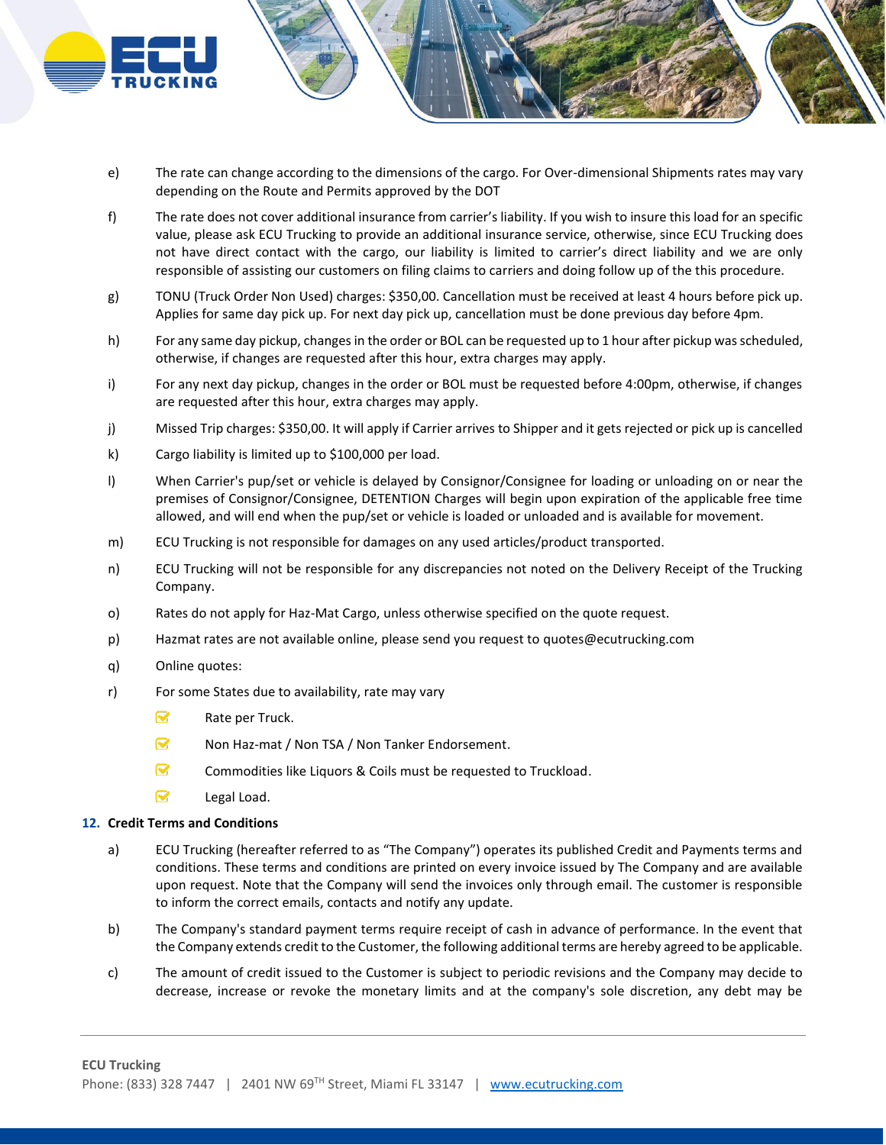

- e) The rate can change according to the dimensions of the cargo. For Over-dimensional Shipments rates may vary depending on the Route and Permits approved by the DOT
- f) The rate does not cover additional insurance from carrier's liability. If you wish to insure this load for an specific value, please ask ECU Trucking to provide an additional insurance service, otherwise, since ECU Trucking does not have direct contact with the cargo, our liability is limited to carrier's direct liability and we are only responsible of assisting our customers on filing claims to carriers and doing follow up of the this procedure.
- g) TONU (Truck Order Non Used) charges: \$350,00. Cancellation must be received at least 4 hours before pick up. Applies for same day pick up. For next day pick up, cancellation must be done previous day before 4pm.
- h) For any same day pickup, changes in the order or BOL can be requested up to 1 hour after pickup was scheduled, otherwise, if changes are requested after this hour, extra charges may apply.
- i) For any next day pickup, changes in the order or BOL must be requested before 4:00pm, otherwise, if changes are requested after this hour, extra charges may apply.
- j) Missed Trip charges: \$350,00. It will apply if Carrier arrives to Shipper and it gets rejected or pick up is cancelled
- k) Cargo liability is limited up to \$100,000 per load.
- l) When Carrier's pup/set or vehicle is delayed by Consignor/Consignee for loading or unloading on or near the premises of Consignor/Consignee, DETENTION Charges will begin upon expiration of the applicable free time allowed, and will end when the pup/set or vehicle is loaded or unloaded and is available for movement.
- m) ECU Trucking is not responsible for damages on any used articles/product transported.
- n) ECU Trucking will not be responsible for any discrepancies not noted on the Delivery Receipt of the Trucking Company.
- o) Rates do not apply for Haz-Mat Cargo, unless otherwise specified on the quote request.
- p) Hazmat rates are not available online, please send you request to quotes@ecutrucking.com
- q) Online quotes:
- r) For some States due to availability, rate may vary
	- $\mathbf{\nabla}$ Rate per Truck.
	- $\overline{\mathbf{M}}$ Non Haz-mat / Non TSA / Non Tanker Endorsement.
	- $\overline{\mathbf{S}}$ Commodities like Liquors & Coils must be requested to Truckload.
	- $\overline{\mathbf{M}}$ Legal Load.

#### **12. Credit Terms and Conditions**

- a) ECU Trucking (hereafter referred to as "The Company") operates its published Credit and Payments terms and conditions. These terms and conditions are printed on every invoice issued by The Company and are available upon request. Note that the Company will send the invoices only through email. The customer is responsible to inform the correct emails, contacts and notify any update.
- b) The Company's standard payment terms require receipt of cash in advance of performance. In the event that the Company extends credit to the Customer, the following additional terms are hereby agreed to be applicable.
- c) The amount of credit issued to the Customer is subject to periodic revisions and the Company may decide to decrease, increase or revoke the monetary limits and at the company's sole discretion, any debt may be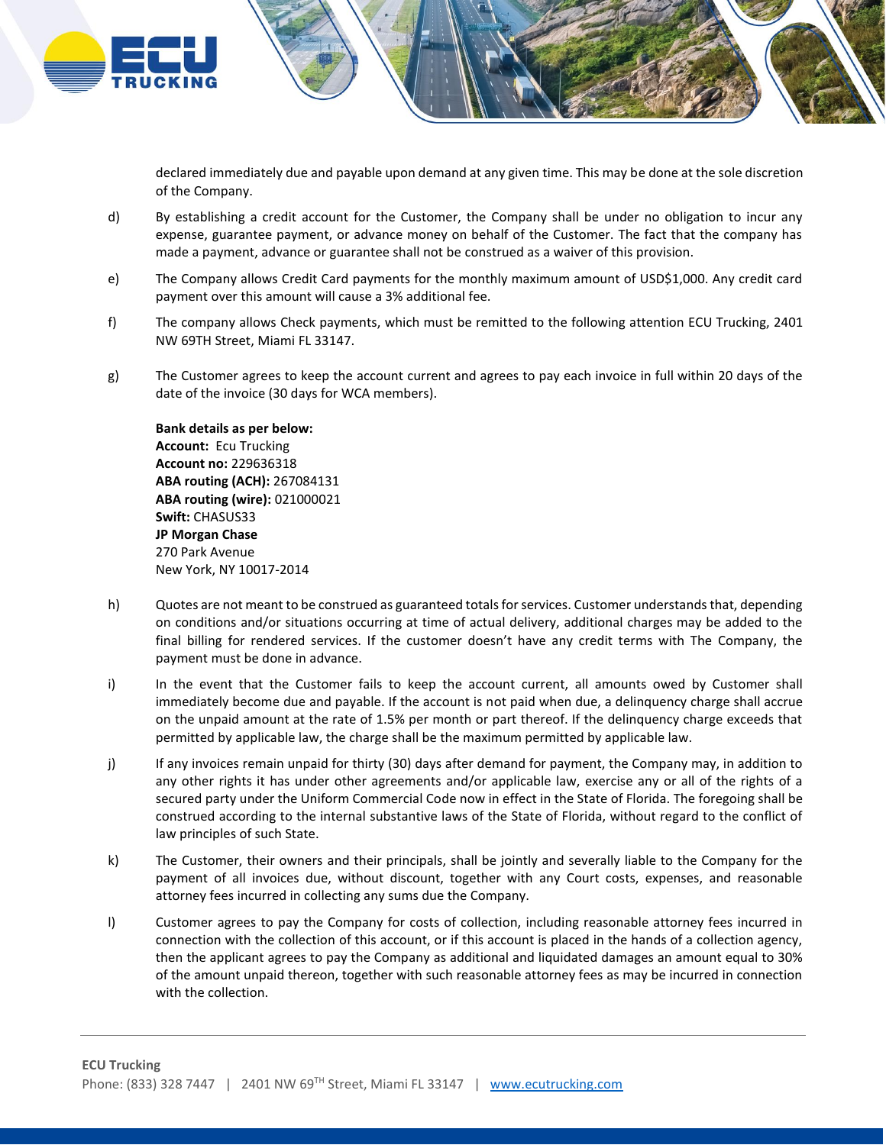

declared immediately due and payable upon demand at any given time. This may be done at the sole discretion of the Company.

- d) By establishing a credit account for the Customer, the Company shall be under no obligation to incur any expense, guarantee payment, or advance money on behalf of the Customer. The fact that the company has made a payment, advance or guarantee shall not be construed as a waiver of this provision.
- e) The Company allows Credit Card payments for the monthly maximum amount of USD\$1,000. Any credit card payment over this amount will cause a 3% additional fee.
- f) The company allows Check payments, which must be remitted to the following attention ECU Trucking, 2401 NW 69TH Street, Miami FL 33147.
- g) The Customer agrees to keep the account current and agrees to pay each invoice in full within 20 days of the date of the invoice (30 days for WCA members).

**Bank details as per below: Account:** Ecu Trucking **Account no:** 229636318 **ABA routing (ACH):** 267084131 **ABA routing (wire):** 021000021 **Swift:** CHASUS33 **JP Morgan Chase** 270 Park Avenue New York, NY 10017-2014

- h) Quotes are not meant to be construed as guaranteed totals for services. Customer understands that, depending on conditions and/or situations occurring at time of actual delivery, additional charges may be added to the final billing for rendered services. If the customer doesn't have any credit terms with The Company, the payment must be done in advance.
- i) In the event that the Customer fails to keep the account current, all amounts owed by Customer shall immediately become due and payable. If the account is not paid when due, a delinquency charge shall accrue on the unpaid amount at the rate of 1.5% per month or part thereof. If the delinquency charge exceeds that permitted by applicable law, the charge shall be the maximum permitted by applicable law.
- j) If any invoices remain unpaid for thirty (30) days after demand for payment, the Company may, in addition to any other rights it has under other agreements and/or applicable law, exercise any or all of the rights of a secured party under the Uniform Commercial Code now in effect in the State of Florida. The foregoing shall be construed according to the internal substantive laws of the State of Florida, without regard to the conflict of law principles of such State.
- k) The Customer, their owners and their principals, shall be jointly and severally liable to the Company for the payment of all invoices due, without discount, together with any Court costs, expenses, and reasonable attorney fees incurred in collecting any sums due the Company.
- l) Customer agrees to pay the Company for costs of collection, including reasonable attorney fees incurred in connection with the collection of this account, or if this account is placed in the hands of a collection agency, then the applicant agrees to pay the Company as additional and liquidated damages an amount equal to 30% of the amount unpaid thereon, together with such reasonable attorney fees as may be incurred in connection with the collection.